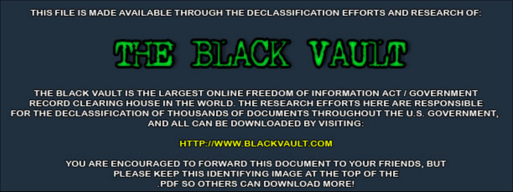THIS FILE IS MADE AVAILABLE THROUGH THE DECLASSIFICATION EFFORTS AND RESEARCH OF:



THE BLACK VAULT IS THE LARGEST ONLINE FREEDOM OF INFORMATION ACT / GOVERNMENT RECORD CLEARING HOUSE IN THE WORLD. THE RESEARCH EFFORTS HERE ARE RESPONSIBLE FOR THE DECLASSIFICATION OF THOUSANDS OF DOCUMENTS THROUGHOUT THE U.S. GOVERNMENT, AND ALL CAN BE DOWNLOADED BY VISITING:

**HTTP://WWW.BLACKVAULT.COM** 

YOU ARE ENCOURAGED TO FORWARD THIS DOCUMENT TO YOUR FRIENDS, BUT PLEASE KEEP THIS IDENTIFYING IMAGE AT THE TOP OF THE PDF SO OTHERS CAN DOWNLOAD MORE!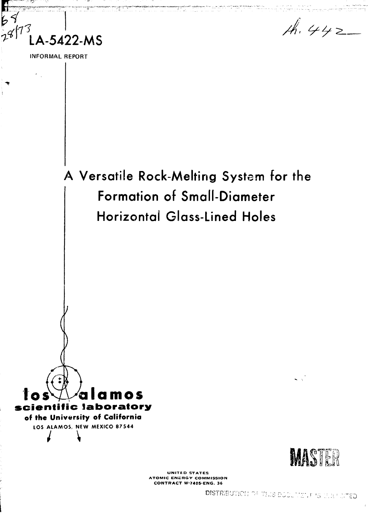$\overline{\mathbf{b}}$ **LA-5422-MS** ্রির্

INFORMAL REPORT

 $A.442$ 



**UNITED STATES ATOMIC ENERGY COMMISSION CONTRACT W-740S-ENG. 36**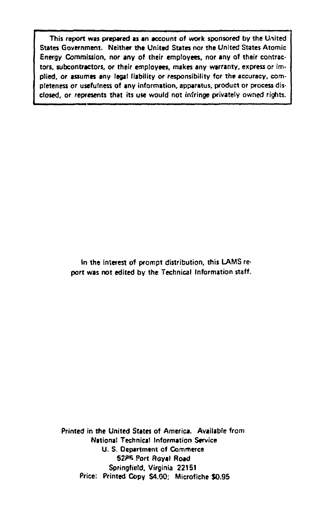**This report was prepared as an account of work sponsored by the Uiiited States Government. Neither the United States nor the United States Atomic Energy Commission, nor any of their emptoyees, nor any of their contractors, subcontractors, or their employees, makes any warranty, express or implied, or assumes any legal liability or responsibility for the accuracy, completeness or usefulness of any information, apparatus, product or process disclosed, or represents that its use would not infringe privately owned rights.**

> **In the interest of prompt distribution, this LAMS report was not edited by the Technical Information staff.**

**Printed in the United Slates of America. Available from National Technical Information Service U. S. Department of Commerce S2PB Port fteyal Road Springfield, Virginia 22151 Price: Printed Copy S4.00; Microfiche \$0.95**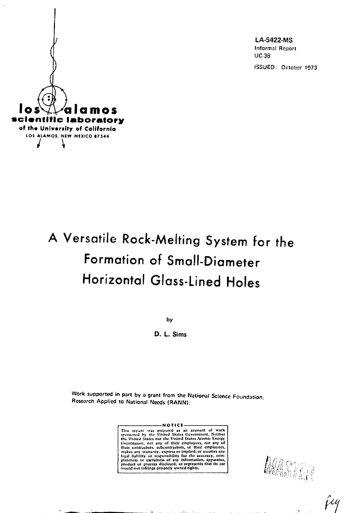LA-5422-MS Informal Report UC38 ISSUED: October 1973



# A Versatile Rock-Melting Sysfem for fhe Formation of Small-Diameter Horizontal Glass-Lined Holes

by

**D. L. Sims**

Work supported in part by a grant from the National Science Foundation Research Applied to National Needs (RANN).

> **-NOTICt -** This report was prepared as an account of work<br>sponsored by the United States Government, Noither<br>the United States nor the United States Atomic Energy<br>Commission, nor any of their employees, nor any of<br>their contractors, makes any waffanty, express of it<br>light liability of responsibility fo<br>pfodeness of usefulness of any in<br>ptoduct or proems disclosed, or<br>would nut infflnge privately owne **implied, or assumes any**<br>**for the accuracy, com-**<br>information, apparatus,<br>represents that its use

MASTER

 $25 - 12$ 

jiy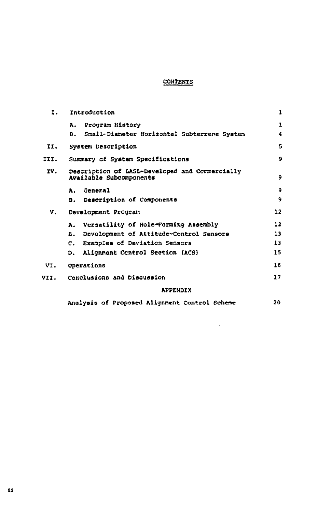# **CONTENTS**

| Ī.   | Introduction                                                              | 1  |
|------|---------------------------------------------------------------------------|----|
|      | Program History<br>А.                                                     | 1  |
|      | Small-Diameter Horizontal Subterrene System<br>Ð.                         | 4  |
| II.  | System Description                                                        | 5  |
| III. | Summary of System Specifications                                          | 9  |
| IV.  | Description of LASL-Developed and Commercially<br>Available Subcomponents | 9  |
|      | <i><b>General</b></i><br>Α.                                               | 9  |
|      | Description of Components<br>Ð.                                           | 9  |
| v.   | Development Program                                                       | 12 |
|      | Versatility of Hole-Forming Assembly<br>λ.                                | 12 |
|      | Development of Attitude-Control Sensors<br>В.                             | 13 |
|      | Examples of Deviation Sensors<br>c.                                       | 13 |
|      | Alignment Control Section (ACS)<br>Ð.                                     | 15 |
| VI.  | Operations                                                                | 16 |
| VII. | Conclusions and Discussion                                                | 17 |
|      | <b>APPENDIX</b>                                                           |    |
|      | Analysis of Proposed Alignment Control Scheme                             | 20 |

 $\mathcal{L}^{\text{max}}_{\text{max}}$  , where  $\mathcal{L}^{\text{max}}_{\text{max}}$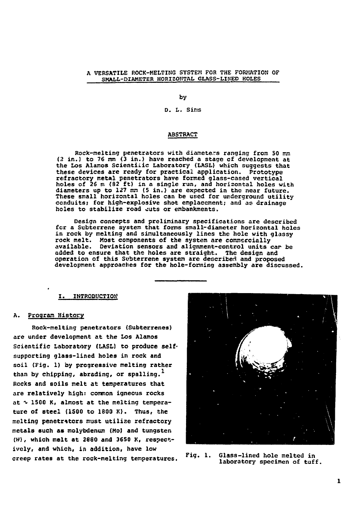# A VERSATILE ROCK-MELTING SYSTEM FOR THE FORMATION OF **SMALL-DIAMETER HORI2OMTAL GLASS-LIKED HOLES**

**by**

# **D. L. Sins**

# **ABSTRACT**

**Rock-melting penetrators with diameters ranging from SO mm {?. in.) to 76 mm (3 in.) have reached a stage of development at the Los Alamos Scientific Laboratory (LASL) which suggests that these devices are ready for practical application. Prototype refractory metal penetrators have formed glass-cased vertical holes of 26 m (32 ft) in a single run, and horizontal holes with diameters up to 127 nsn (5 in.) are expected in the near future.** These small horizontal holes can be used for underground utility **conduits; for high-explosive shot emplacement; and as drainage holes to stabilize road outs or embankments.**

**Design concepts and preliminary specifications are described fcr a Subterrene system that forms snail-diameter horizontal holes in rock by melting and simultaneously lines the hole with glassy rock melt. Most components of the system are commercially available. Deviation sensors and alignment-control units car be added to ensure that the holes are straight. The design and operation of this Subterrer.e system are described and proposed development approaches for the hole-fonning assembly are discussed.**

# **I. INTRODUCTION**

# **A. Program History**

**Rock-melting penetrators (Subterrenes) are under development at the Los Alamos Scientific Laboratory (LASL) to produce selfsupporting glass-lined holes in rock and soil (Fig. 1) by progressive melting rather than by chipping, abrading, or spoiling. Rocks and soils melt at temperatures that** are relatively high: common igneous rocks at  $\sim$  1500 K. almost at the melting tempera**ture of steel {1500 to 1800 K). Thus, the melting penetritors must utilize refractory metals such as molybdenum (Mo) and tungsten (W), which melt at 2880 and 3650 K, respectively, and which, in addition, have low creep rates at the rock-melting temperatures.**



Fig. 1. Glass-lined hole melted in laboratory specimen of tuff.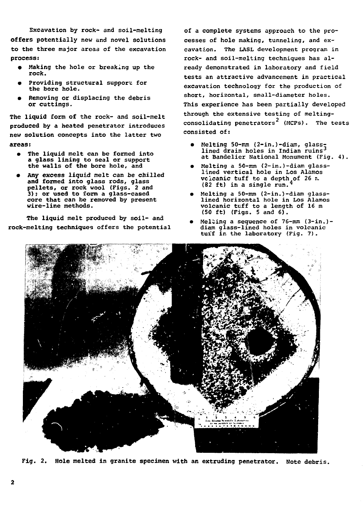Excavation by rock- and soil-melting offers potentially new and novel solutions to the three major areas of the excavation process:

- Making the hole or breaking up the rock.
- Providing structural support for the bore hole.
- Removing or displacing the debris or cuttings.

The liquid form of the rock- and soil-melt produced by a heated penetrator introduces new solution concepts into the latter two areas:

- The liquid melt can be formed into a glass lining to seal or support the walls of the bore hole, and
- Any excess liquid melt can be chilled and formed into glass rods, glass pellets, or rock wool (Figs. 2 and 3); or used to form a glass-cased core that can be removed by present wire-line methods.

The liquid melt produced by soil- and rock-melting techniques offers the potential

of a complete systems approach to the processes of hole making, tunneling, and excavation. The LASL development program in rock- and soil-melting techniques has already demonstrated in laboratory and field tests an attractive advancement in practical excavation technology for the production of short, horizontal, small-diameter holes. This experience has been partially developed through the extensive testing of meltingconsolidating penetrators $^2$  (MCPs). The tests consisted of:

- Melting 50-mm (2-in.)-diam, glass-<br>lined drain holes in Indian ruins<sup>3</sup> at Bandelier National Monument (Fig. 4).
- Melting a 50-mm (2-in.)-diam glasslined vertical hole in Los Alamos vcicanic tuff to a depth of 26 m. (82 ft) in a single run.
- Melting a 50-mm (2-in.)-diam glasslined horizontal hole in Los Alamos volcanic tuff to a length of 16 m (50 ft) (Figs. 5 and 6).
- Melting a sequence of  $76$ -mm  $(3-in.)$ diam glass-lined holes in volcanic tuif in the laboratory (Fig. 7).



Fig. 2. Hole melted in granite specimen with an extruding penetrator. Note debris.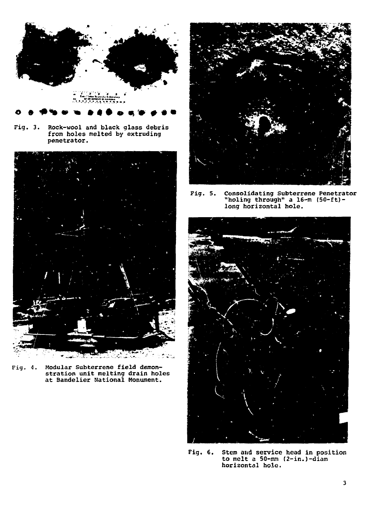

**Fig. 3. Rock-wool and black glass debris from holes melted by extruding penetrator.**



**Fig. 4. Modular Subterrene field demonstration unit melting drain holes at Bandelier National Monument.**



**Fig. 5. Consolidating Subterrene Penetrator "holing through" a 16-m (50-ft) long horizontal hole.**



**Fig. 6. Stem aitd service head in position to melt a 50-mm (2-in.)-diam horizontal hole.**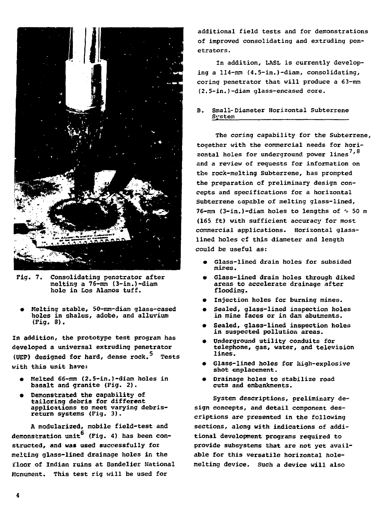

Fig. 7. Consolidating penetrator after melting a 76-mm (3-in.)-diam hole in £os Alamos tuff.

• Melting stable, 50-mm-diam glass-cased holes in shales, adobe, and alluvium (Pig. 8).

In addition, the prototype test program has developed a universal extruding penetrator (UEP) designed for hard, dense  $rock.^5$  Tests with this unit have:

- Melted 66-mm (2.5-in.)-diam holes in basalt and granite (Fig. 2).
- Demonstrated the capability of tailoring debris for different applications to meet varying debrisreturn systems (Fig. 3).

A modularized, mobile field-test and demonstration unit<sup>6</sup> (Fig. 4) has been constructed, and was used successfully for melting glass-lined drainage holes in the floor of Indian ruins at Bandelier National Monument. This test rig will be used for

additional field tests and for demonstrations of improved consolidating and extruding penetrators.

In addition, LASL is currently developing a 114-mm (4.5-in.)-diam, consolidating, coring penetrator that will produce a 63-mm (2.5-in.)-diam glass-encased core.

# B. Small-Diameter Horizontal Subterrene **System**

The coring capability for the Subterrene, together with the commercial needs for horizontal holes for underground power lines<sup>7,8</sup> and a review of reguests for information on the rock-melting Subterrene, has prompted the preparation of preliminary design concepts and specifications for a horizontal Subterrene capable of melting glass-lined, 76-mm (3-in.)-diam holes to lengths of  $\sim$  50 m (165 ft) with sufficient accuracy for most commercial applications. Horizontal glasslined holes cf this diameter and length could be useful as:

- Glass-lined drain holes for subsided mines.
- « Glass-lined drain holes through diked areas to accelerate drainage after flooding.
- Injection holes for burning mines.
- Sealed, glass-lined inspection holes in mine faces or in dam abutments.
- Sealed, glass-lined inspection holes in suspected pollution areas.
- Underground utility conduits for telephone, gas, water, and television lines.
- Glass-lined holes for high-explosive shot emplacement.
- Drainage holes to stabilize road cuts and embankments.

System descriptions, preliminary design concepts, and detail component descriptions are presented in the following sections, along with indications of additional development programs required to provide subsystems that are not yet available for this versatile horizontal holemelting device. Such a device will also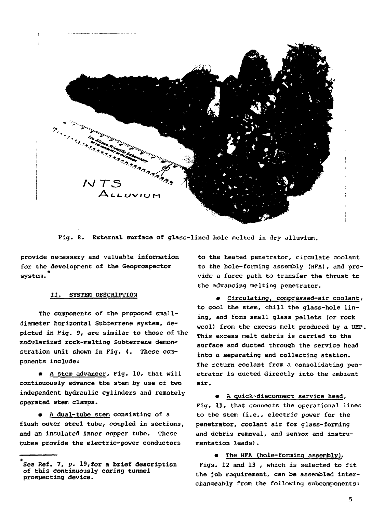

Fig. 8. External surface of glass-lined hole melted in dry alluvium.

provide necessary and valuable information for the development of the Geoprospector \* system-

# II. SYSTEM DESCRIPTION

The components of the proposed smalldiameter horizontal Subterrene system, depicted in Pig. 9, are similar to those of the modularized rock-melting Subterrene demonstration unit shown in Fig. 4. These components include:

**A** stem advancer, Fig. 10, that will continuously advance the stem by use of two independent hydraulic cylinders and remotely operated stem clamps.

• A dual-tube stem consisting of a flush outer steel tube, coupled in sections, and an insulated inner copper tube. These tubes provide the electric-power conductors

to the heated penetrator, circulate coolant to the hole-forming assembly (HFA), and provide a force path to transfer the thrust to the advancing melting penetrator.

• Circulating, compressed-air coolant, to cool the stem, chill the glass-hole lining, and form small glass pellets (or rock wool) from the excess melt produced by a UEP. This excess melt debris is carried to the surface and ducted through the service head into a separating and collecting station. The return coolant from a consolidating penetrator is ducted directly into the ambient air.

• A quick-disconnect service head, Fig. 11, that connects the operational lines to the stem (i.e., electric power for the penetrator, coolant air for glass-forming and debris removal, and sensor and instrumentation leads).

• The HFA (hole-forming assembly). Figs. 12 and 13 , which is selected to fit the job requirement, can be assembled interchangeably from the following subcomponents:

Sea Ref. 7, p. 19,for a brief description of this continuously coring tunnel prospecting device.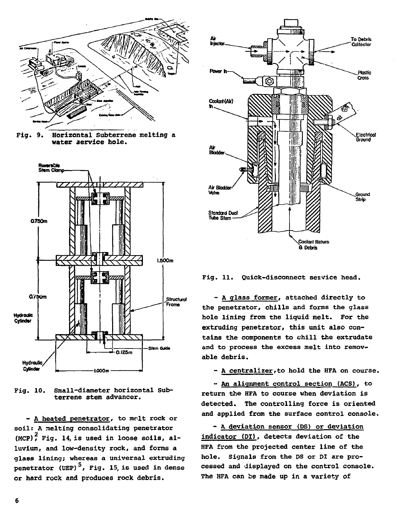

**Fig. 9. Horizontal** Subterrene melting a **water aervice hole.**



Pig. 10. Small-diameter horizontal Subterrene stem advancer.

- A heated penetrator, to melt rock or soil: A melting consolidating penetrator (MCP) $<sup>2</sup>$  Fig. 14, is used in loose soils, al-</sup> luvium, and low-density rock, and forms a glass lining; whereas a universal extruding penetrator (UEP)<sup>5</sup>, Fig. 15, is used in dense or **hard** rock and produces rock debris.



Fig. 11. Quick-disconnect service head.

- A glass former, attached directly to the penetrator, chills and forms the glass hole lining from the liquid melt. For the extruding penetrator, this unit also contains the components to chill the extrudate and to process the excess melt into removable debris.

- A centralizer, to hold the HFA on course.

- An alignment control section (ACS). to return the HFA to course when deviation is detected. The controlling force is oriented and applied from the surface control console.

- A deviation sensor (PS) or deviation indicator (DI), detects deviation of the HFA from the projected center line of the hole. Signals from the DS or DI are processed and displayed on the control console. The HFA can be made up in a variety of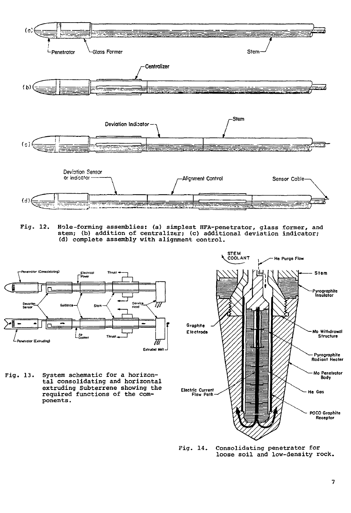

Fig. 12. Hole-forming assemblies: (a) simplest HFA-penetrator, glass former, and stem; (b) addition of centralizer; (c) additional deviation indicator; (d) complete assembly with alignment control.



Fig. 13. System schematic for a horizontal consolidating and horizontal extruding Subterrene showing the required functions of the components .



Fig. 14. Consolidating penetrator for loose soil and low-density rock.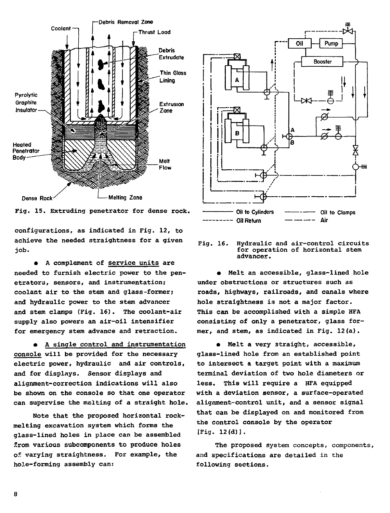

Fig. 15. Extruding penetrator for dense rock.

configurations, as indicated in Fig. 12, to achieve the needed straightness for a given job.

• A complement of service units are needed to furnish electric power to the penetrators, sensors, and instrumentation; coolant air to the stem and glass-former; and hydraulic power to the stem advancer and stem clamps (Fig. 16). The coolant-air supply also powers an air-oil intensifier for emergency stem advance and retraction.

• A single control and instrumentation console will be provided for the necessary electric power, hydraulic and air controls, and for displays. Sensor displays and alignment-correction indications will also be shown on the console so that one operator can supervise the malting of a straight hole.

Note that the proposed horizontal rockmelting excavation system which forms the glass-lined holes in place can be assembled Srom various subcomponents to produce holes of varying straightness. For example, the hole-forming assembly can:



#### **Fig. 16.** Hydraulic and air-control circuits for operation of horizontal stem advancer.

• Melt an accessible, glass-lined hole under obstructions or structures such as roads, highways, railroads, and canals where hole straightness is not a major factor. This can be accomplished with a simple HFA consisting of only a penetrator, glass former, and stem, as indicated in Fig. 12(a).

• Melt a very straight, accessible, glass-lined hole from an established point to intersect a target point with a maximum terminal deviation of two hole diameters or less. This will require a HFA equipped with a deviation sensor, a surface-operated alignment-control unit, and a sensor signal that can be displayed on and monitored from the control console by the operator [Fig. 12(d)].

The proposed system concepts, components, and specifications are detailed in the following sections.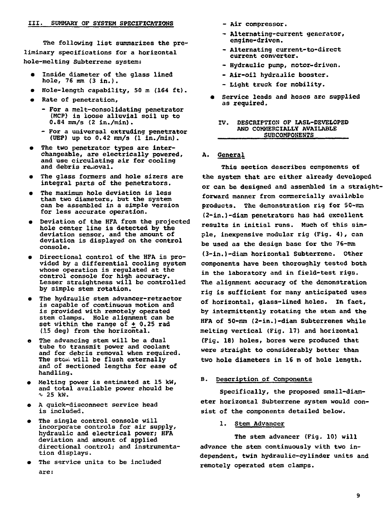**The following list summarizes the preliminary specifications for a horizontal hole-melting Subterrene system:**

- **Inside diameter of the glass lined hole, 76 ram (3 in.)•**
- **Hole-length capability. 50 nt (164 ft).**
- $\bullet$ **Rate of penetration,**
	- **For a melt-consolidating penetrator (MCP) in loose alluvial soil up to 0.84 nm/s (2 in./min).**
	- **For a universal extruding penetrator (OEP) up to 0.42 nnn/s (1 in./rain).**
- **The two penetrator types are interchangeable, are electrically powered, and use circulating air for cooling and debris removal.**
- **The glass formers and hole sizers are integral parts of the penetrators.**
- **The maximum hole deviation is less than two diameters, but the system can be assembled in a simple version for less accurate operation.**
- **Deviation of the HFA from the projected hole center line is detected by the deviation sensor, and the amount of deviation is displayed on the control console.**
- $\bullet$ **Directional control of the HFA is provided by a differential cooling system whose operation is regulated at the control console for high accuracy. Lesser straightness will be controlled by simple stem rotation.**
- **The hydraulic stem advancer-retractor is capable of continuous motion and is provided with remotely operated stem clamps. Hole alignment can be** set within the range of  $\pm$  0.25 rad **(.15 deg) from the horizontal.**
- **The advancing stem will be a dual tube to transmit power and coolant and for debris removal when required. The stGiii will be flush externally and of sectioned lengths for ease of handling.**
- **Melting power is estimated at 15 kW, and total available power should be i> 25 kW.**
- **A quick-disconnect service head is included.**
- **The single control console will incorporate controls for air supply, hydraulic and electrical power; HFA deviation and amount of applied directional control; and instrumentation displays.**
- **The service units to be included are:**
- **Air compressor.**
- **Alternating-current generator, engine-driven.**
- **Alternating current-to-direct current converter.**
- **Hydraulic pump, motor-driven.**
- **Air-oil hydraulic booster.**
- **Light truck for mobility.**
- **Service leads and hoses are supplied as required.**

#### **IV. DESCRIPTION OF LASL-DEVELOPED AND COMMERCIALLY AVAILABLE SUBCOMPONENTS**

# **A. General**

**This section describes components of the system that are either already developed or can be designed and assembled in a straightforward manner from commercially available** products. The demonstration rig for 50-mm **(2-in.)-diam penetrators has had excellent results in initial runs. Much of this simple, inexpensive modular rig (Fig. 4) , can be used as the design base for the 76-mm (3-in.)-diam horizontal Subterrene. Other components have been thoroughly tested both in the laboratory and in field-test rigs. The alignment accuracy of the demonstration rig is sufficient for many anticipated uses of horizontal, glass=lined holes. In fact, by intermittently rotating the stem and the HFA of 50-ront (2-in.)-diam Subterrenes while melting vertical (Fig. 17) and horizontal (Fig. 18) holes, bores were produced that were straight to considerably better than two hole diameters in 16 m of hole length.**

# **B. Description of Components**

**Specifically, the proposed small-diameter horizontal Subterrene system would consist of the components detailed below.**

**1. Stem Advancer**

**The stem advancer (Fig. 10) will advance the stem continuously with two independent, twin hydraulic-cylinder units and remotely operated stem clamps.**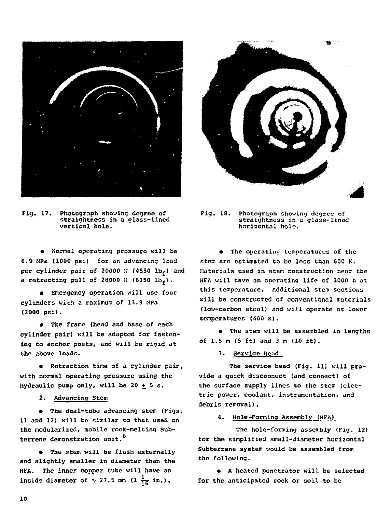

Fig. 17. Photograph showing degree of straightness in a glass-lined vertical hole.

• Normal operating pressure will bo 6.S MPa (1000 psi) for an advancing load per cylinder pair of 20000  $N$  (4550 lb<sub>f</sub>) and a retracting pull of  $28000$  N  $(6350$  lb<sub>c</sub>).

• Emergency operation will use four cylinders with a maximum of 13.8 MPa (2000 psi).

• The frame (head and base of each cylinder pair) will be adapted for fastening to anchor posts, and will be rigid at the above loads.

• Retraction time of a cylinder pair, with normal operating pressure using the hydraulic pump only, will be 20  $+$  5 s.

2. Advancing Stem

• The dual-tube advancing stem (Figs. 11 and 12) will be similar to that used on the modularized, mobile rock-melting Subterrene demonstration unit.<sup>6</sup>

• The stem will be flush externally and slightly smaller in diameter than the HFA. The inner copper tube will have an inside diameter of  $\sim$  27.5 mm (1  $\frac{1}{16}$  in.).



Fig. 18. Photograph showing degree of straightness in a glass-lined horizontal hole.

• The operating temperatures of the stem are estimated to be less than 600 K. Materials used in stem construction near the HFA will have an operating life of 3000 h at this temperature. Additional stem sections will be constructed of conventional materials (low-carbon steel) and will operate at lower temperatures (400 K).

• The stem will be assembled in lengths of 1.5 m (5 ft) and 3 m (10 ft).

3. Service Head

The service head (Fig. 11) will provide a quick disconnect (and connect) of the surface supply lines to the stem (electric power, coolant, instrumentation, and debris removal).

4. Hole-Forming Assembly (HFA)

The hole-forming assembly (Fig. 12) for the simplified small-diameter horizontal Subterrene system would be assembled from the following.

• A heated penetrator will be selected for the anticipated rock or soil to be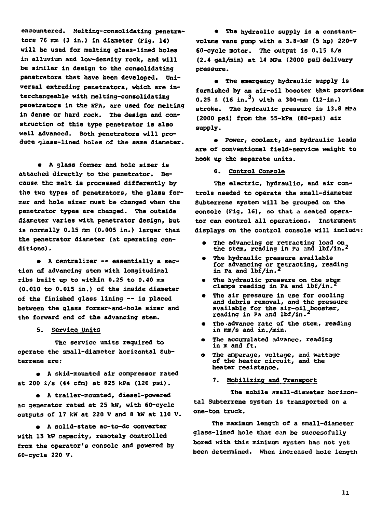**encountered. Melting-consolidating penetratore 76 mm (3 in.) in diameter (Fig. 14) will be used for melting glass-lined holes in alluvium and low-density rock, and will be similar in design to the consolidating penetrators that have been developed. Universal extruding penetrators, which axe interchangeable with melting-consolidating penetrators in the HFA, are used for melting in dense or hard rock. The design and construction of this type penetrator is also well advanced. Both penetrators will produce <jlass~lined holes of the same diameter.**

**• A glass former and hole sizer is attached directly to the penetrator. Because the melt is processed differently by the two types of penetrators, the glass former and hole sizer must be changed when the penetrator types are changed. The outside diameter varies with penetrator design, but is normally 0.15 mm (0.005 in.) larger than the penetrator diameter (at operating conditions) .**

**• A centralizer — essentially a section of advancing stem with longitudinal ribs built up to within 0.2S to 0.40 mm (0.010 to 0.015 in.) of the inside diameter of the finished glass lining — is placed between the glass former-and-hole sizer and the forward end of the advancing stem.**

**5. Service Units**

**The service units required to operate the small-diameter horizontal Subterrene are:**

**• A skid-mounted air compressor rated at 200 l/s (44 cfm) at 825 kPa (120 psi).**

**• A trailer-mounted, diesel-powered ac generator rated at 25 kW, with 60-cycle outputs of 17 fcW at 220 V and 8 kW at 110 V.**

**• A solid-state ac-to-dc converter with 15 kW capacity, remotely controlled from the operator's console and powered by 60-cycle 220 V.**

**• The hydraulic supply is a constantvolume vane pump with a 3.8-kW (5 hp) 220-V 60-cycle motor. The output is 0.15 I/a (2.4 gal/min) at 14 MPa (2000 psij delivery pressure.**

**• The emergency hydraulic supply is furnished by an air-oil booster that provides 0.25 £** (16 in.<sup>3</sup>) with a 300-rom (12-in.) **stroke. The hydraulic pressure is 13.8 MPa (2000 psi) from the 55-kPa (80-psi) air supply.**

**« Power, coolant, and hydraulic leads are of conventional field-service weight to hook up the separate units.**

**6. Control Console**

**The electric, hydraulic, and air controls needed to operate the small-diameter Subterrene system will be grouped on the console (Fig. 16), so that a seated operator can control all operations. Instrument displays on the control console will include:**

- **The advancing or retracting load on the stem, reading in Pa and lbf/in.<sup>2</sup>**
- **The hydraulic pressure available for advancing or retracting, reading in Pa and lbf/in.<sup>2</sup>**
- **The hydraulic pressure on the stem clamps reading in Pa and lbf/in.<sup>2</sup>**
- **The air pressure in use for cooling and debris removal, and the pressure available for the air-oil booster, reading in Pa and lbf/in.<sup>2</sup>**
- **The ^advance rate of the stem, reading in mm/s and in./min.**
- **The accumulated advance, reading in m and ft.**
- **The amperage, voltage, and wattage of the heater circuit, and the heater resistance.**

**7. Mobilizing and Transport**

**The mobile small-diameter horizontal Subterrene system is transported on a one-ton truck.**

**The maximum length of a small-diameter glass-lined hole that can be successfully bored with this minimum system has not yet been determined. When increased hole length**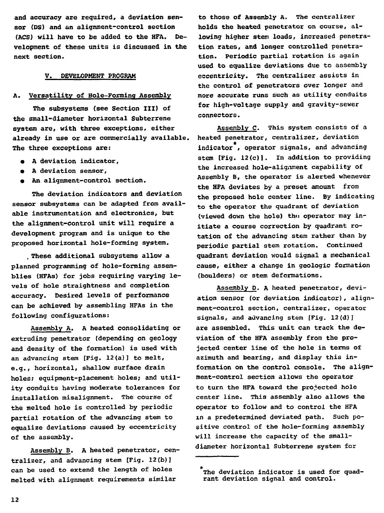**and accuracy are required, a deviation sensor (DS) and an alignment-control section (ACS) will have to be added to the HFA. Development of these units is discussed in the next section.**

# **V. DEVELOPMENT PROGRAM**

# **A. Versatility of Hole-Forming Assembly**

**The subsystems (see Section III) of the small-diameter horizontal Subterrene system are, with three exceptions, either already in use or are commercially available. The three exceptions are:**

- **A deviation indicator,**
- **A deviation sensor,**
- **An alignment-control section.**

**The deviation indicators and deviation sensor subsystems can be adapted from available instrumentation and electronics, but the alignment-control unit will require a development program and is unique to the proposed horizontal hole-forming system.**

**. These additional subsystems allow a planned programming of hole-forming assemblies (HFAs) for jobs requiring varying levels of hole straightness and completion accuracy. Desired levels of performance can be achieved by assembling HFAs in the following configurations:**

**Assembly A. A heated consolidating or extruding penetrator (depending on geology and density of the formation) is used with an advancing stem [Fig. 12(a)] to melt, e.g., horizontal, shallow surface drain holes; equipment-placement holes; and utility conduits having moderate tolerances for installation misalignment. The course of the melted hole is controlled by periodic partial rotation of the advancing stem to equalize deviations caused by eccentricity of the assembly.**

**Assembly B. A heated penetrator, centralizer, and advancing stem [Fig. 12(b)I can be used to extend the length of holes melted with alignment requirements similar**

**to those of Assembly A. The centralizer holds the heated penetrator on course, allowing higher stem loads, increased penetration rates, and longer controlled penetration. Periodic partial rotation is again used to equalize deviations due to assembly eccentricity. The centralizer assists in the control of penetrators over longer and more accurate runs such as utility conduits for high-voltage supply and gravity-sewer connectors.**

**Assembly C. This system consists of a heated penetrator, centralizer, deviation indicator , operator signals, and advancing stem [Pig. 12{c)l. In addition to providing the increased hole-alignment capability of Assembly B, the operator is alerted whenever the HPA deviates by a preset amount from the proposed hole center line. By indicating to the operator the quadrant of deviation (viewed down the hole) thu operator may initiate a course correction by quadrant rotation of the advancing stem rather than by periodic partial stem rotation. Continued quadrant deviation would signal a mechanical cause, either a change in geologic formation (boulders) or stem deformations.**

**Assembly D. A heated penetrator, deviation sensor (or deviation indicator), alignment-control section, centralizer, operator signals, and advancing stem [Fig. 12(d)] are assembled. This unit can track the deviation of the HFA assembly from the projected center line of the hole in terms of azimuth and bearing, and display this information on the control console. The alignment-control section allows the operator to turn the HFA toward the projected hole center line. This assembly also allows the operator to follow and to control the HFA in a predetermined deviated path. Such positive control of the hole-forming assembly will increase the capacity of the smalldiameter horizontal Subterrene system for**

The deviation indicator is used for quadrant deviation signal and control.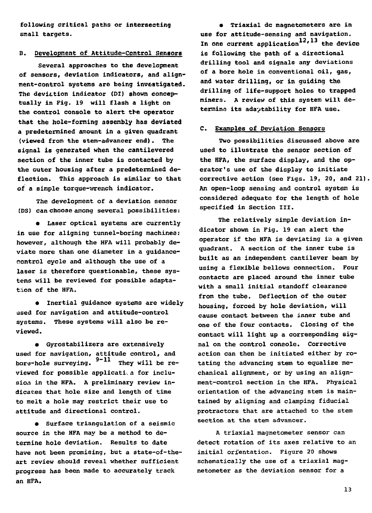**following critical paths or intersecting small targets.**

# **B. Development of Attitude-Control Sensors**

**Several approaches to the development of sensors, deviation indicators, and alignment-control systems are being investigated.** The deviation indicator (DI) shown concep**tually in Fig. 19 will flash a light on the control console to alert tbe operator that the hole-forming assembly has deviated a predetermined amount in a given quadrant (viewed from the stem-advancer end). The signal is generated when the cantilevered section of the inner tube is contacted by the outer housing after a predetermined deflection. This approach is similar to that of a simple torque—trench indicator.**

**The development of a deviation sensor (DS) can choose among several possibilities:**

**• Laser optical systems are currently in use for aligning tunnel-boring machines; however, although the HFA will probably deviate more than one diameter in a guidancecontrol cycle and although the use of a laser is therefore questionable, these systems will be reviewed for possible adaptation of the HFA.**

**• Inertial guidance systems are widely used for navigation and attitude-control systems. These systems will also be reviewed .**

**• Gyrostabilizers are extensively used for navigation, attitude control, and** bore-hole surveying.  $9-11$  They will be reviewed for possible application for inclusion in the HFA. A preliminary review indicates that hole size and length of time to melt a hole may restrict their use to  $attitude and directional control.$ 

**a** Surface triangulation of a seismic source in the HFA may be a method to determine hole deviation. Results to date have not been promising, but a state-of-theart review should reveal whether sufficient **art review should reveal whether sufficient progress has been made to accurately track an HFA.**

**• Triaxial dc magnetometers are in use for attitude-sensing and navigation.** In one current application<sup>12,13</sup> the device **is following the path of a directional drilling tool and signals any deviations of a bore hole in conventional oil, gas, and water drilling, or in guiding the drilling of life-support holes to trapped miners. A review of this system will determine its adaptability for HFA use.**

# **C. Examples of Deviation Sensors**

**Two possibilities discussed above are used to illustrate the sensor section of the HFA, the surface display, and the operator's use of the display to initiate corrective action (see Figs. 19, 20, and 21) An open-loop sensing and control system is considered adequate for the length of hole specified in Section III.**

**The relatively simple deviation indicator shown in Fig. 19 can alert the operator if the HFA is deviating in a given quadrant. A section of the inner tube is built as an independent cantilever beam by using a flexible bellows connection. Four contacts are placed around the inner tube with a small initial standoff clearance from the tube. Deflection of the outer housing, forced by hole deviation, will cause contact between the inner tube and one of the four contacts. Closing of the contact will light up a corresponding signal on the control console. Corrective action can then be initiated either by rotating the advancing stem to equalize mechanical alignment, or by using an alignment-control section in the HFA. Physical orientation of the advancing stem is maintained by aligning and clamping fiducial protractors that are attached to the stem section at the stem advancer.**

**A triaxial magnetometer sensor can detect rotation of its axes relative to an initial ori'entation. Figure 20 shows schematically the use of a triaxial magnetometer as the deviation sensor for a**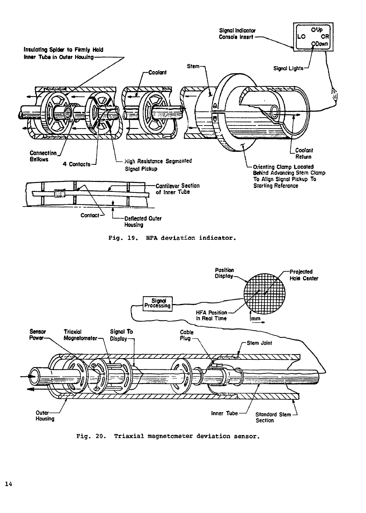

Fig. 20. Triaxial magnetometer deviation sensor.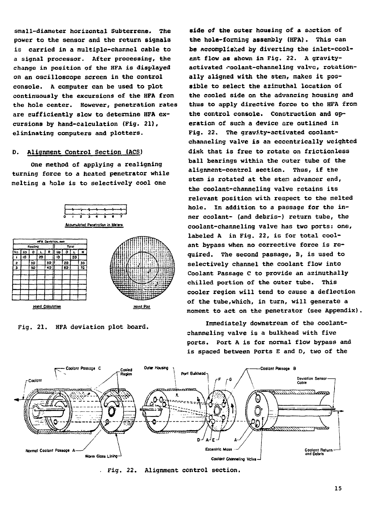**small-diameter horizontal Subterrene. The power to the sensor and the return signals is carried in a multiple-channel cable to a signal processor. After processing, the change in position of the HFA is displayed on an oscilloscope screen in the control console. A computer can be used to plot continuously the excursions of the HFA from the hole center. However, penetration rates are sufficiently slow to determine HFA excursions by hand-calculation (Fig. 21), eliminating computers and plotters.**

# **D. Alignment Control Section (ACS)**

**One method of applying a realigning turning force to a heated penetrator while melting a hole is to selectively cool one**



**Fig. 21. HFA deviation plot board.**

**aide of the outer housing of a section of the hole-forcing assembly (HFA). This can be accomplished by diverting the inlet-coolant flow as shown in Fig. 22. A gravity**activated coolant-channeling valve, rotationally aligned with the stem, makes it pos**sible to select the aziniuthal location o£ the cooled side on the advancing housing and thus to apply directive force to the HFA from the control console. Construction and operation of such a device are outlined in Fig. 22. The gravity-activated coolantchanneling valve is an eccentrically weighted disk that is free to rotate on frictionless ball bearings within the cuter tube of the alignment-control section. Thus, if the stem is rotated at the sten advancer end, the coolant-channeling valve retains its relevant position with respect to the melted hole. In addition to a passage for the inner coolant- (and debris-) return tube, the coolant-channeling valve has two ports: one, labeled A in Fig. 22, is for total coolant bypass when no corrective force is required. The second passage, B, is used to selectively channel the coolant flow into Coolant Passage C to provide an azimuthally chilled portion of the outer tube. This cooler region will tend to cause a deflection of the tube,which, in turn, will generate a moment to act on the penetrator (see Appendix)**

**Immediately downstream of the coolantchanneling valve is a bulkhead with five ports. Port A is for normal flow bypass and is spaced between Ports E and D, two of the**



**. Fig. 22. Alignment control section.**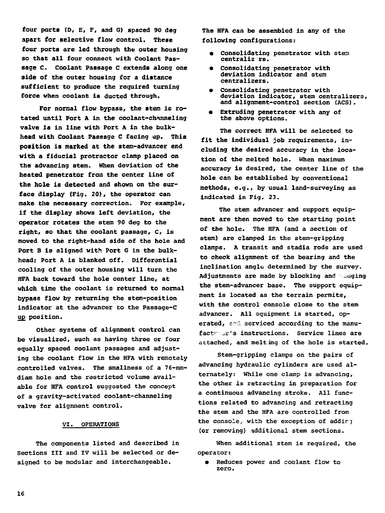**four ports (D, E, F, and 6) spaced 90 deg apart for selective flow control. These four ports are led through the outer housing so that all four connect with Coolant Passage C. Coolant Passage C extends along one side of the outer housing for a distance sufficient to produce the required turning force when coolant is ducted through.**

**For normal flow bypass, the stem is rotated until Port A in the coolant-channeling valve is in line with Port A in the bulkhead with Coolant Passage C facing up. This** position is marked at the stem-advancer end **with a fiducial protractor clamp placed on the advancing stem. When deviation of the heated penetrator from the center line of the hole is detected and shown on the surface display (Fig. 20), the operator can make the necessary correction. For example, if the display shows left deviation, the operator rotates the stem 90 deg to the right, so that the coolant passage, C, is moved to the right-hand side of the hole and Port B is aligned with Port 6 in the bulkhead; Pert A is blanked off. Differential cooling of the outer housing will turn the HFA back toward the hole center line, at which time the coolant is returned to normal bypass flow by returning the stem-position indicator at the advancer to the Passage-C up position.**

**Other systems of alignment control can be visualized, such as having three or four equally spaced coolant passages and adjusting the coolant flow in the HFA with remotely controlled valves. The smallness of a 76-mmdiam hole and the restricted volume available for HFA control suggested the concept of a gravity-activated coolant-channeling valve for alignment control.**

# **VI. OPERATIONS**

**The components listed and described in Sections III and IV will be selected or designed to be modular and interchangeable.**

**The HFA can be assembled in any of the following configurations:**

- **Consolidating penetrator with stes centraliz rs.**
- **Consolidating penetrator with deviation indicator and stem centralizers.**
- **Consolidating penetrator with deviation indicator, stem centralizers, and alignment-control section (ACS).**
- **Extruding penetrator with any of the above options.**

**The correct HFA will be selected to fit the individual job requirements, including the desired accuracy in the location of the melted hole. When maximum accuracy is desired, the center line of the hole can be established by conventional methods, e.g., by usual land-surveying as indicated in Fig. 23.**

**The stem advancer and support equipment are then moved to the starting point of the hole. The HFA (and a section of stem) are clamped in the stem-gripping clamps. A transit and stadia rods are used to check alignment of the bearing and the inclination angle determined by the survey.** Adjustments are made by blocking and eadging **the stem-advancer base. The support equipment is located as the terrain permits, with the control console close to the stem advancer. All equipment is started, op**erated, and serviced according to the manu**factr'ijr's instructions. Service lines are attached, and melting of the hole is started.**

**Stem-gripping clamps on the pairs of advancing hydraulic cylinders are used alternately: While one clamp is advancing, the other is retracting in preparation for a continuous advancing stroke. All functions related to advancing and retracting the stem and the HFA are controlled from the console., with the exception of addir-j (or removing) additional stem sections.**

**When additional stem is required, the operator:**

**• Seduces power and coolant flow to zero.**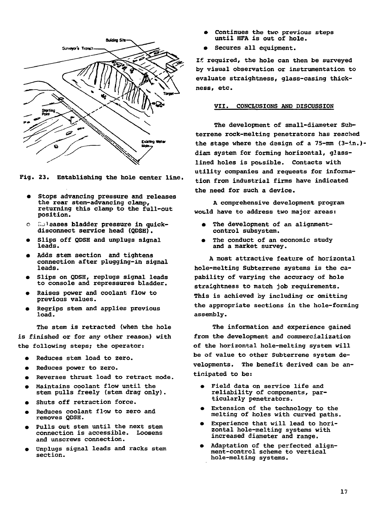

**Fig. 23. Establishing the hole center line.**

- **Stops advancing pressure and releases the rear stem-advancing clamp, returning this clamp to the full-out position.**
- **o Releases bladder pressure in quickdisconnect service head (QDSH).**
- **Slips off QDSH and unplugs signal leads.**
- **Adds stem section and tightens connection after plugging-in signal leads.**
- **Slips on QDSH, replugs signal leads to console and repressures bladder.**
- **Raises power and coolant flow to previous values.**
- **Regrips stem and applies previous load.**

**The stem is retracted (when the hole is finished or for any other reason) with the following steps; the operator:**

- **Reduces stem load to zero.**
- **Reduces power to zero.**
- **Reverses thrust load to retract mode.**
- **Maintains coolant flow until the stem pulls freely (stem drag only).**
- **Shuts off retraction force.**
- **Reduces coolant flow to zero and removes QDSH.**
- **Pulls out stem until the next stem connection is accessible. Loosens and unscrews connection.**
- **Unplugs signal leads and racks stem section.**
- **Continues the two previous steps until HFA is out of hole.**
- **Secures all equipment.**

**If required, the hole can then be surveyed by visual observation or instrumentation to evaluate straightness, glass-casing thickness, etc.**

# **VII. CONCLDSIONS AND DISCUSSION**

**The development of small-diameter Subterrene rock-melting penetrators has reached the stage where the design of a 75-mm (3-in.) diam system for forming horizontal, glasslined holes is possible. Contacts with utility companies and requests for information from industrial firms have indicated the need for such a device.**

**A comprehensive development program would have to address two major areas:**

- **The development of an alignmentcontrol subsystem.**
- **The conduct of an economic study and a market survey.**

**A most attractive feature of horizontal hole-melting Subterrene systems is the capability of varying the accuracy of hole straightness to match job requirements. This is achieved by including or omitting the appropriate sections in the hole-forming assembly.**

**The information and experience gained from the development and commercialization of the horizontal hole-melting system will be of value to other Subterrene system developments. The benefit derived can be anticipated to be:**

- **Field data on service life and reliability of components, particularly penetrators.**
- **Extension of the technology to the melting of holes with curved paths.**
- Experience that will lead to hori**zontal hole-melting systems with increased diameter and range.**
- **Adaptation of the perfected alignment-control scheme to vertical hole-melting systems.**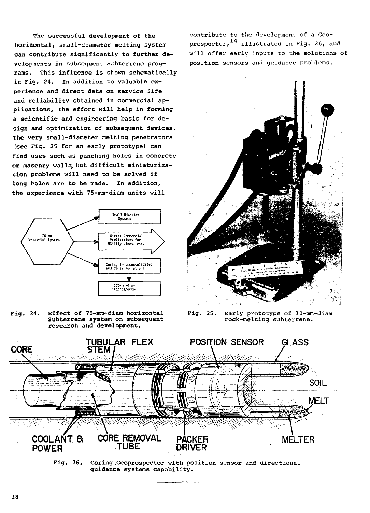**The successful development of the horizontal, small-diameter melting system can contribute significantly to further developments in subsequent S^.bterrene programs. This influence is** shown schematically **in Fig. 24. In addition to valuable experience and direct data on service life and reliability obtained in commercial applications, the effort will help in forming a scientific and engineering** basis **for design and optimisation of subsequent devices. The very small-diameter melting penetrators ;see Fig. 25 for an early prototype) can i.'ind uses such as punching holes in concrete or masonry walls, but difficult miniaturization problems will need to be solved if long holes are to be made. In addition, the experience with 75-mm-diam units will**



Fig. 24. Effect of 75-mm-diam horizontal Subterrene system on subsequent research and development.

contribute to the development of a Geoprospector,  $^{14}$  illustrated in Fig. 26, and will offer early inputs to the solutions of position sensors and guidance problems.



Fig. 25. Early prototype of 10-mm-diam rock-melting subterrene.



**Fig. 26. Coring .Geoprospector** with position sensor and directional **guidance** systems **capability.**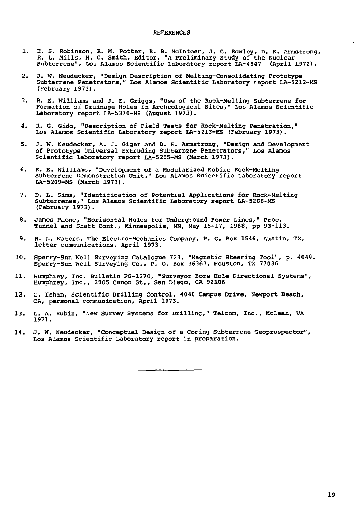# **REFERENCES**

- 1. E. S. Robinson, R. M. Potter, B. B. Mclnteer, J. C. Rowley, D. E. Armstrong, R. L. Mills, M. C. Smith, Editor, "A Preliminary Study of the Nuclear Subterrene", Los Alamos Scientific Laboratory report LA-4547 (April 1972).
- 2. J. W. Neudecker, "Design Description of Melting-Consolidating Prototype Subterrene Penetrators," Los Alamos Scientific Laboratory report LA-5212-MS (February 1973).
- 3. R. E. Williams and J. E. Griggs, "Use of the Rock-Melting Subterrene for Formation of Drainage Holes in Archeological Sites," Los Alamos Scientific Laboratory report LA-5370-MS (August 1973).
- 4. R. G. Gido, "Description of Field Tests for Rock-Melting Penetration," Los Alamos Scientific Laboratory report LA-5213-MS (February 1973).
- 5. J. W. Neudecker, A. J. Giger and D. E. Armstrong, "Design and Development of Prototype Universal Extruding Subterrene Penetrators," Los Alamos Scientific Laboratory report LA-5205-MS (March 1973).
- 6. R. E. Williams, "Development of a Modularized Mobile Rock-Melting Subterrene Demonstration Unit," Los Alamos Scientific Laboratory report LA-5209-MS (March 1973).
- 7. D. L. Sims, "Identification of Potential Applications for Rock-Melting Subterrenes," Los Alamos Scientific Laboratory report LA-5206-MS (February 1973).
- 8. James Paone, "Horizontal Holes for Underground Power Lines," Proc. Tunnel and Shaft Conf., Minneapolis, MN, May 15-17, 1968, pp 93-113.
- 9. R. L. Waters, The Electro-Mechanics Company, P. 0. Box 1546, Austin, TX, letter communications, April 1973.
- 10. Sperry-Sun Well Surveying Catalogue 723, "Magnetic Steering Tool", p. 4049. Sperry-Sun Well Surveying Co., P. 0. Box 36363, Houston, TX 77036
- 11. Humphrey, Inc. Bulletin FG-1270, "Surveyor Bore Hole Directional Systems", Humphrey, Inc., 2605 Canon St., San Diego, CA 92106
- 12. C. Ishan, Scientific Drilling Control, 4040 Campus Drive, Newport Beach, CA, personal communication, April 1973.
- 13. L. A. Rubin, "New Survey Systems for Drilling," Telcom, Inc., McLean, VA 1971.
- 14. J. W. Neudecker, "Conceptual Design of a Coring Subterrene Geoprospector", Los Alamos Scientific Laboratory report in preparation.